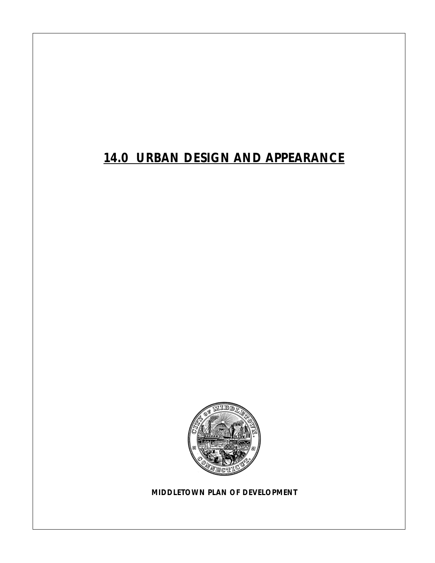# *14.0 URBAN DESIGN AND APPEARANCE*



*MIDDLETOWN PLAN OF DEVELOPMENT*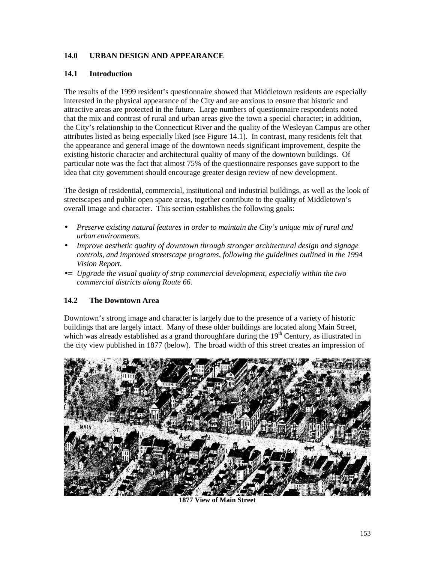## **14.0 URBAN DESIGN AND APPEARANCE**

#### **14.1 Introduction**

The results of the 1999 resident's questionnaire showed that Middletown residents are especially interested in the physical appearance of the City and are anxious to ensure that historic and attractive areas are protected in the future. Large numbers of questionnaire respondents noted that the mix and contrast of rural and urban areas give the town a special character; in addition, the City's relationship to the Connecticut River and the quality of the Wesleyan Campus are other attributes listed as being especially liked (see Figure 14.1). In contrast, many residents felt that the appearance and general image of the downtown needs significant improvement, despite the existing historic character and architectural quality of many of the downtown buildings. Of particular note was the fact that almost 75% of the questionnaire responses gave support to the idea that city government should encourage greater design review of new development.

The design of residential, commercial, institutional and industrial buildings, as well as the look of streetscapes and public open space areas, together contribute to the quality of Middletown's overall image and character. This section establishes the following goals:

- *Preserve existing natural features in order to maintain the City's unique mix of rural and urban environments.*
- *Improve aesthetic quality of downtown through stronger architectural design and signage controls, and improved streetscape programs, following the guidelines outlined in the 1994 Vision Report.*
- •= *Upgrade the visual quality of strip commercial development, especially within the two commercial districts along Route 66.*

## **14.2 The Downtown Area**

Downtown's strong image and character is largely due to the presence of a variety of historic buildings that are largely intact. Many of these older buildings are located along Main Street, which was already established as a grand thoroughfare during the  $19<sup>th</sup>$  Century, as illustrated in the city view published in 1877 (below). The broad width of this street creates an impression of



**1877 View of Main Street**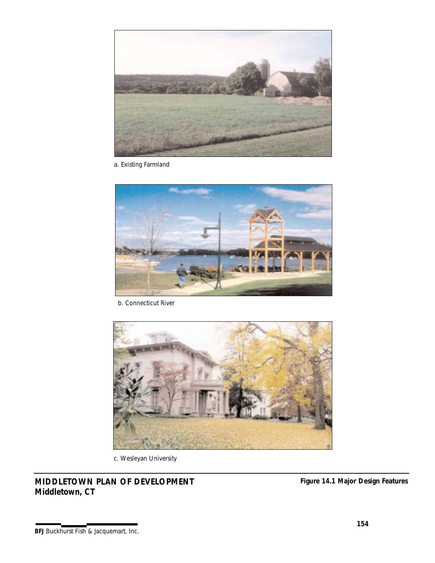

a. Existing Farmland



b. Connecticut River



c. Wesleyan University

*MIDDLETOWN PLAN OF DEVELOPMENT Middletown, CT*

*Figure 14.1 Major Design Features*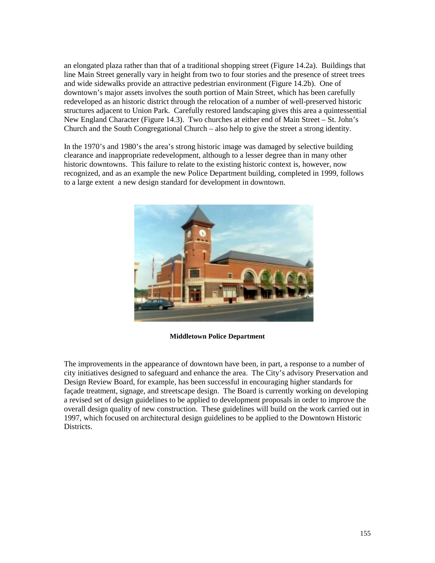an elongated plaza rather than that of a traditional shopping street (Figure 14.2a). Buildings that line Main Street generally vary in height from two to four stories and the presence of street trees and wide sidewalks provide an attractive pedestrian environment (Figure 14.2b). One of downtown's major assets involves the south portion of Main Street, which has been carefully redeveloped as an historic district through the relocation of a number of well-preserved historic structures adjacent to Union Park. Carefully restored landscaping gives this area a quintessential New England Character (Figure 14.3). Two churches at either end of Main Street – St. John's Church and the South Congregational Church – also help to give the street a strong identity.

In the 1970's and 1980's the area's strong historic image was damaged by selective building clearance and inappropriate redevelopment, although to a lesser degree than in many other historic downtowns. This failure to relate to the existing historic context is, however, now recognized, and as an example the new Police Department building, completed in 1999, follows to a large extent a new design standard for development in downtown.



**Middletown Police Department** 

The improvements in the appearance of downtown have been, in part, a response to a number of city initiatives designed to safeguard and enhance the area. The City's advisory Preservation and Design Review Board, for example, has been successful in encouraging higher standards for façade treatment, signage, and streetscape design. The Board is currently working on developing a revised set of design guidelines to be applied to development proposals in order to improve the overall design quality of new construction. These guidelines will build on the work carried out in 1997, which focused on architectural design guidelines to be applied to the Downtown Historic Districts.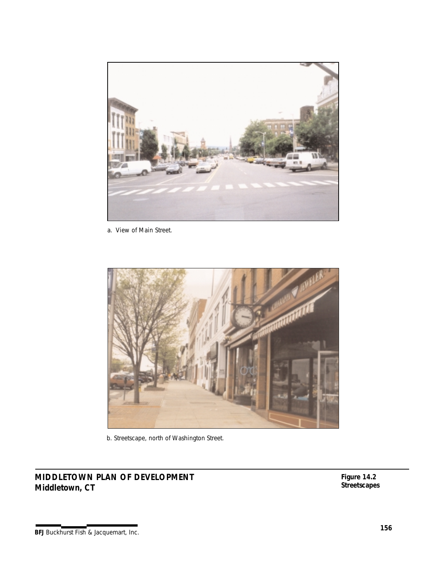

a. View of Main Street.



b. Streetscape, north of Washington Street.

*MIDDLETOWN PLAN OF DEVELOPMENT Middletown, CT*

*Figure 14.2 Streetscapes*

# **BFJ** Buckhurst Fish & Jacquemart, Inc. **156**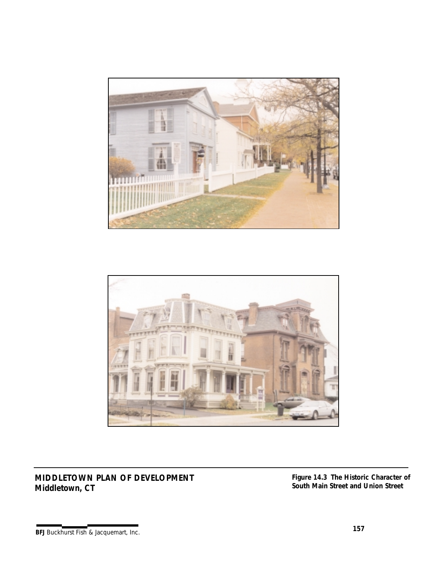



*MIDDLETOWN PLAN OF DEVELOPMENT Middletown, CT*

*Figure 14.3 The Historic Character of South Main Street and Union Street*

# *BFJ* Buckhurst Fish & Jacquemart, Inc. *157*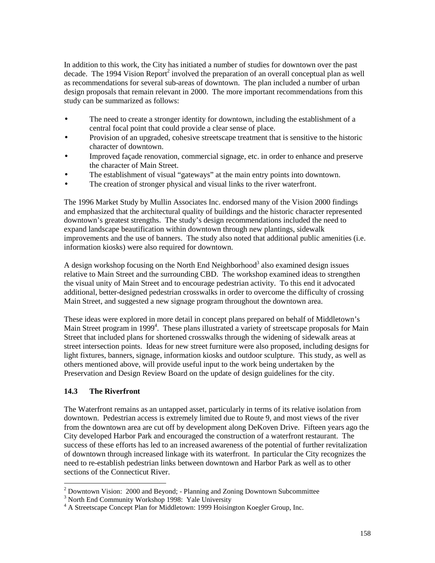In addition to this work, the City has initiated a number of studies for downtown over the past decade. The 1994 Vision Report<sup>2</sup> involved the preparation of an overall conceptual plan as well as recommendations for several sub-areas of downtown. The plan included a number of urban design proposals that remain relevant in 2000. The more important recommendations from this study can be summarized as follows:

- The need to create a stronger identity for downtown, including the establishment of a central focal point that could provide a clear sense of place.
- Provision of an upgraded, cohesive streetscape treatment that is sensitive to the historic character of downtown.
- Improved façade renovation, commercial signage, etc. in order to enhance and preserve the character of Main Street.
- The establishment of visual "gateways" at the main entry points into downtown.
- The creation of stronger physical and visual links to the river waterfront.

The 1996 Market Study by Mullin Associates Inc. endorsed many of the Vision 2000 findings and emphasized that the architectural quality of buildings and the historic character represented downtown's greatest strengths. The study's design recommendations included the need to expand landscape beautification within downtown through new plantings, sidewalk improvements and the use of banners. The study also noted that additional public amenities (i.e. information kiosks) were also required for downtown.

A design workshop focusing on the North End Neighborhood<sup>3</sup> also examined design issues relative to Main Street and the surrounding CBD. The workshop examined ideas to strengthen the visual unity of Main Street and to encourage pedestrian activity. To this end it advocated additional, better-designed pedestrian crosswalks in order to overcome the difficulty of crossing Main Street, and suggested a new signage program throughout the downtown area.

These ideas were explored in more detail in concept plans prepared on behalf of Middletown's Main Street program in 1999<sup>4</sup>. These plans illustrated a variety of streetscape proposals for Main Street that included plans for shortened crosswalks through the widening of sidewalk areas at street intersection points. Ideas for new street furniture were also proposed, including designs for light fixtures, banners, signage, information kiosks and outdoor sculpture. This study, as well as others mentioned above, will provide useful input to the work being undertaken by the Preservation and Design Review Board on the update of design guidelines for the city.

## **14.3 The Riverfront**

The Waterfront remains as an untapped asset, particularly in terms of its relative isolation from downtown. Pedestrian access is extremely limited due to Route 9, and most views of the river from the downtown area are cut off by development along DeKoven Drive. Fifteen years ago the City developed Harbor Park and encouraged the construction of a waterfront restaurant. The success of these efforts has led to an increased awareness of the potential of further revitalization of downtown through increased linkage with its waterfront. In particular the City recognizes the need to re-establish pedestrian links between downtown and Harbor Park as well as to other sections of the Connecticut River.

<sup>&</sup>lt;sup>2</sup> Downtown Vision: 2000 and Beyond; - Planning and Zoning Downtown Subcommittee

<sup>&</sup>lt;sup>3</sup> North End Community Workshop 1998: Yale University

<sup>&</sup>lt;sup>4</sup> A Streetscape Concept Plan for Middletown: 1999 Hoisington Koegler Group, Inc.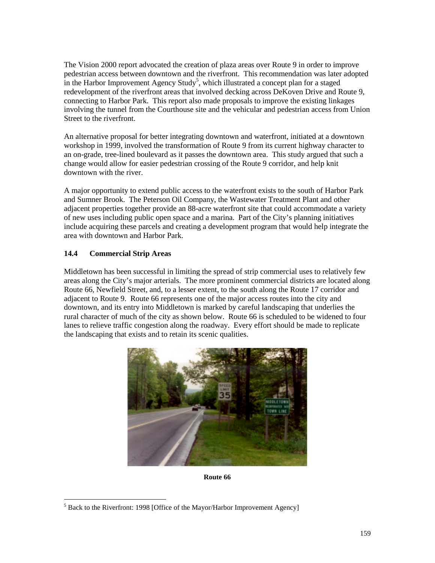The Vision 2000 report advocated the creation of plaza areas over Route 9 in order to improve pedestrian access between downtown and the riverfront. This recommendation was later adopted in the Harbor Improvement Agency Study<sup>5</sup>, which illustrated a concept plan for a staged redevelopment of the riverfront areas that involved decking across DeKoven Drive and Route 9, connecting to Harbor Park. This report also made proposals to improve the existing linkages involving the tunnel from the Courthouse site and the vehicular and pedestrian access from Union Street to the riverfront.

An alternative proposal for better integrating downtown and waterfront, initiated at a downtown workshop in 1999, involved the transformation of Route 9 from its current highway character to an on-grade, tree-lined boulevard as it passes the downtown area. This study argued that such a change would allow for easier pedestrian crossing of the Route 9 corridor, and help knit downtown with the river.

A major opportunity to extend public access to the waterfront exists to the south of Harbor Park and Sumner Brook. The Peterson Oil Company, the Wastewater Treatment Plant and other adjacent properties together provide an 88-acre waterfront site that could accommodate a variety of new uses including public open space and a marina. Part of the City's planning initiatives include acquiring these parcels and creating a development program that would help integrate the area with downtown and Harbor Park.

## **14.4 Commercial Strip Areas**

 $\overline{a}$ 

Middletown has been successful in limiting the spread of strip commercial uses to relatively few areas along the City's major arterials. The more prominent commercial districts are located along Route 66, Newfield Street, and, to a lesser extent, to the south along the Route 17 corridor and adjacent to Route 9. Route 66 represents one of the major access routes into the city and downtown, and its entry into Middletown is marked by careful landscaping that underlies the rural character of much of the city as shown below. Route 66 is scheduled to be widened to four lanes to relieve traffic congestion along the roadway. Every effort should be made to replicate the landscaping that exists and to retain its scenic qualities.



**Route 66** 

<sup>&</sup>lt;sup>5</sup> Back to the Riverfront: 1998 [Office of the Mayor/Harbor Improvement Agency]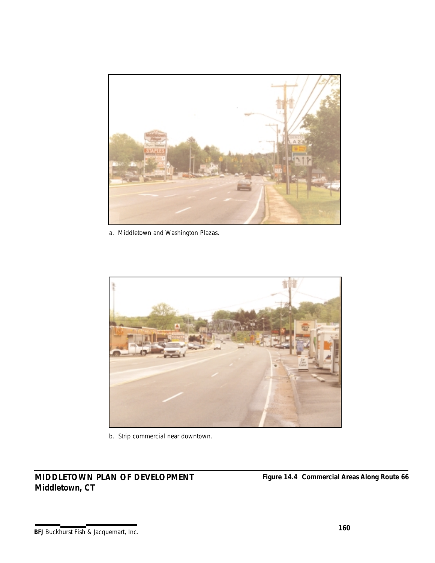

a. Middletown and Washington Plazas.



b. Strip commercial near downtown.

*MIDDLETOWN PLAN OF DEVELOPMENT Middletown, CT*

*Figure 14.4 Commercial Areas Along Route 66*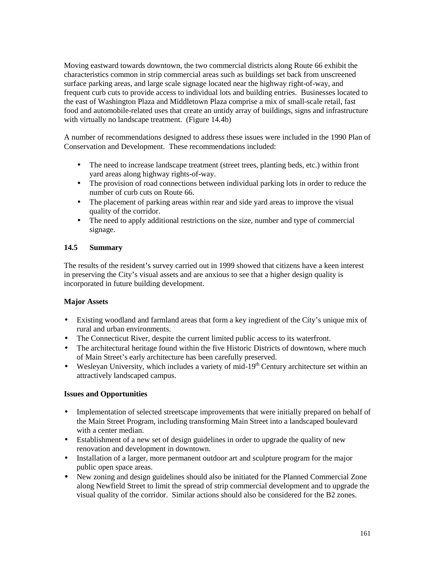Moving eastward towards downtown, the two commercial districts along Route 66 exhibit the characteristics common in strip commercial areas such as buildings set back from unscreened surface parking areas, and large scale signage located near the highway right-of-way, and frequent curb cuts to provide access to individual lots and building entries. Businesses located to the east of Washington Plaza and Middletown Plaza comprise a mix of small-scale retail, fast food and automobile-related uses that create an untidy array of buildings, signs and infrastructure with virtually no landscape treatment. (Figure 14.4b)

A number of recommendations designed to address these issues were included in the 1990 Plan of Conservation and Development. These recommendations included:

- The need to increase landscape treatment (street trees, planting beds, etc.) within front yard areas along highway rights-of-way.
- The provision of road connections between individual parking lots in order to reduce the number of curb cuts on Route 66.
- The placement of parking areas within rear and side yard areas to improve the visual quality of the corridor.
- The need to apply additional restrictions on the size, number and type of commercial signage.

## **14.5 Summary**

The results of the resident's survey carried out in 1999 showed that citizens have a keen interest in preserving the City's visual assets and are anxious to see that a higher design quality is incorporated in future building development.

#### **Major Assets**

- Existing woodland and farmland areas that form a key ingredient of the City's unique mix of rural and urban environments.
- The Connecticut River, despite the current limited public access to its waterfront.
- The architectural heritage found within the five Historic Districts of downtown, where much of Main Street's early architecture has been carefully preserved.
- Wesleyan University, which includes a variety of mid-19<sup>th</sup> Century architecture set within an attractively landscaped campus.

#### **Issues and Opportunities**

- Implementation of selected streetscape improvements that were initially prepared on behalf of the Main Street Program, including transforming Main Street into a landscaped boulevard with a center median.
- Establishment of a new set of design guidelines in order to upgrade the quality of new renovation and development in downtown.
- Installation of a larger, more permanent outdoor art and sculpture program for the major public open space areas.
- New zoning and design guidelines should also be initiated for the Planned Commercial Zone along Newfield Street to limit the spread of strip commercial development and to upgrade the visual quality of the corridor. Similar actions should also be considered for the B2 zones.